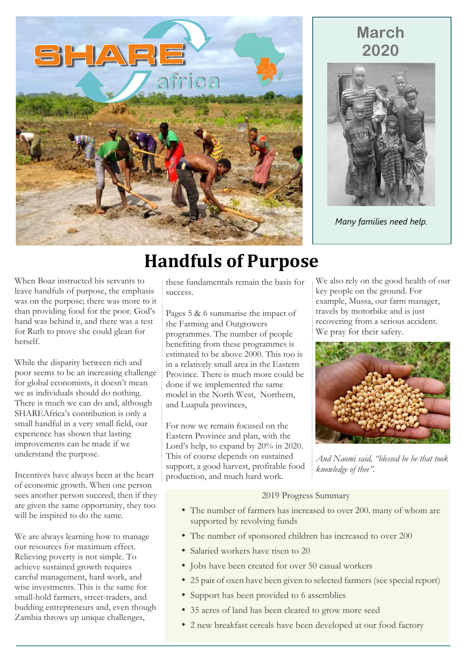

### **March 2020**



*Many families need help.*

When Boaz instructed his servants to leave handfuls of purpose, the emphasis was on the purpose; there was more to it than providing food for the poor. God's hand was behind it, and there was a test for Ruth to prove she could glean for herself.

While the disparity between rich and poor seems to be an increasing challenge for global economists, it doesn't mean we as individuals should do nothing. There is much we can do and, although SHAREAfrica's contribution is only a small handful in a very small field, our experience has shown that lasting improvements can be made if we understand the purpose.

Incentives have always been at the heart of economic growth. When one person sees another person succeed, then if they are given the same opportunity, they too will be inspired to do the same.

We are always learning how to manage our resources for maximum effect. Relieving poverty is not simple. To achieve sustained growth requires careful management, hard work, and wise investments. This is the same for small-hold farmers, street-traders, and budding entrepreneurs and, even though Zambia throws up unique challenges,

# **Handfuls of Purpose**

these fundamentals remain the basis for success.

Pages 5 & 6 summarise the impact of the Farming and Outgrowers programmes. The number of people benefiting from these programmes is estimated to be above 2000. This too is in a relatively small area in the Eastern Province. There is much more could be done if we implemented the same model in the North West, Northern, and Luapula provinces,

For now we remain focused on the Eastern Province and plan, with the Lord's help, to expand by 20% in 2020. This of course depends on sustained support, a good harvest, profitable food production, and much hard work.

We also rely on the good health of our key people on the ground. For example, Mussa, our farm manager, travels by motorbike and is just recovering from a serious accident. We pray for their safety.



*And Naomi said, "blessed be he that took knowledge of thee".*

#### 2019 Progress Summary

- The number of farmers has increased to over 200. many of whom are supported by revolving funds
- The number of sponsored children has increased to over 200
- Salaried workers have risen to 20
- Jobs have been created for over 50 casual workers
- 25 pair of oxen have been given to selected farmers (see special report)
- Support has been provided to 6 assemblies
- 35 acres of land has been cleared to grow more seed
- 2 new breakfast cereals have been developed at our food factory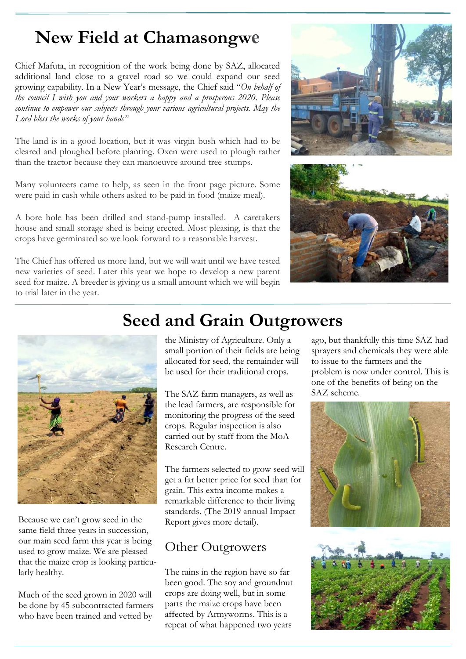## **New Field at Chamasongwe**

Chief Mafuta, in recognition of the work being done by SAZ, allocated additional land close to a gravel road so we could expand our seed growing capability. In a New Year's message, the Chief said "*On behalf of the council I wish you and your workers a happy and a prosperous 2020. Please continue to empower our subjects through your various agricultural projects. May the Lord bless the works of your hands"*

The land is in a good location, but it was virgin bush which had to be cleared and ploughed before planting. Oxen were used to plough rather than the tractor because they can manoeuvre around tree stumps.

Many volunteers came to help, as seen in the front page picture. Some were paid in cash while others asked to be paid in food (maize meal).

A bore hole has been drilled and stand-pump installed. A caretakers house and small storage shed is being erected. Most pleasing, is that the crops have germinated so we look forward to a reasonable harvest.

The Chief has offered us more land, but we will wait until we have tested new varieties of seed. Later this year we hope to develop a new parent seed for maize. A breeder is giving us a small amount which we will begin to trial later in the year.







Because we can't grow seed in the same field three years in succession, our main seed farm this year is being used to grow maize. We are pleased that the maize crop is looking particularly healthy.

Much of the seed grown in 2020 will be done by 45 subcontracted farmers who have been trained and vetted by

## **Seed and Grain Outgrowers**

the Ministry of Agriculture. Only a small portion of their fields are being allocated for seed, the remainder will be used for their traditional crops.

The SAZ farm managers, as well as the lead farmers, are responsible for monitoring the progress of the seed crops. Regular inspection is also carried out by staff from the MoA Research Centre.

The farmers selected to grow seed will get a far better price for seed than for grain. This extra income makes a remarkable difference to their living standards. (The 2019 annual Impact Report gives more detail).

### Other Outgrowers

The rains in the region have so far been good. The soy and groundnut crops are doing well, but in some parts the maize crops have been affected by Armyworms. This is a repeat of what happened two years

ago, but thankfully this time SAZ had sprayers and chemicals they were able to issue to the farmers and the problem is now under control. This is one of the benefits of being on the SAZ scheme.



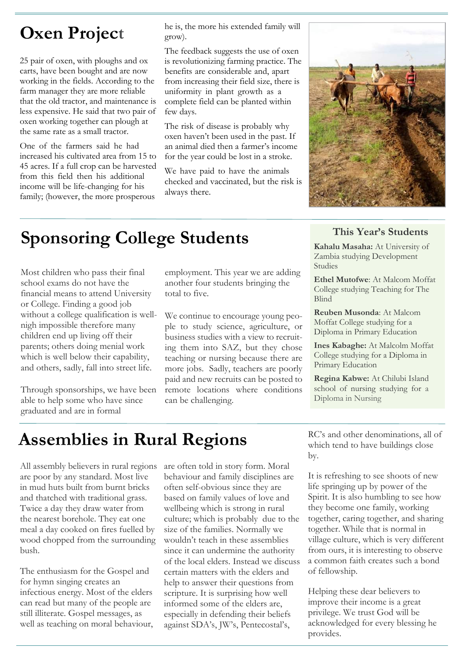## **Oxen Project**

25 pair of oxen, with ploughs and ox carts, have been bought and are now working in the fields. According to the farm manager they are more reliable that the old tractor, and maintenance is less expensive. He said that two pair of oxen working together can plough at the same rate as a small tractor.

One of the farmers said he had increased his cultivated area from 15 to 45 acres. If a full crop can be harvested from this field then his additional income will be life-changing for his family; (however, the more prosperous

he is, the more his extended family will grow).

The feedback suggests the use of oxen is revolutionizing farming practice. The benefits are considerable and, apart from increasing their field size, there is uniformity in plant growth as a complete field can be planted within few days.

The risk of disease is probably why oxen haven't been used in the past. If an animal died then a farmer's income for the year could be lost in a stroke.

We have paid to have the animals checked and vaccinated, but the risk is always there.



## **Sponsoring College Students This Year's Students**

Most children who pass their final school exams do not have the financial means to attend University or College. Finding a good job without a college qualification is wellnigh impossible therefore many children end up living off their parents; others doing menial work which is well below their capability, and others, sadly, fall into street life.

Through sponsorships, we have been able to help some who have since graduated and are in formal

employment. This year we are adding another four students bringing the total to five.

We continue to encourage young people to study science, agriculture, or business studies with a view to recruiting them into SAZ, but they chose teaching or nursing because there are more jobs. Sadly, teachers are poorly paid and new recruits can be posted to remote locations where conditions can be challenging.

**Kahalu Masaha:** At University of Zambia studying Development Studies

**Ethel Mutofwe**: At Malcom Moffat College studying Teaching for The Blind

**Reuben Musonda**: At Malcom Moffat College studying for a Diploma in Primary Education

**Ines Kabaghe:** At Malcolm Moffat College studying for a Diploma in Primary Education

**Regina Kabwe:** At Chilubi Island school of nursing studying for a Diploma in Nursing

## **Assemblies in Rural Regions**

All assembly believers in rural regions are poor by any standard. Most live in mud huts built from burnt bricks and thatched with traditional grass. Twice a day they draw water from the nearest borehole. They eat one meal a day cooked on fires fuelled by wood chopped from the surrounding bush.

The enthusiasm for the Gospel and for hymn singing creates an infectious energy. Most of the elders can read but many of the people are still illiterate. Gospel messages, as well as teaching on moral behaviour, are often told in story form. Moral behaviour and family disciplines are often self-obvious since they are based on family values of love and wellbeing which is strong in rural culture; which is probably due to the size of the families. Normally we wouldn't teach in these assemblies since it can undermine the authority of the local elders. Instead we discuss certain matters with the elders and help to answer their questions from scripture. It is surprising how well informed some of the elders are, especially in defending their beliefs against SDA's, JW's, Pentecostal's,

RC's and other denominations, all of which tend to have buildings close by.

It is refreshing to see shoots of new life springing up by power of the Spirit. It is also humbling to see how they become one family, working together, caring together, and sharing together. While that is normal in village culture, which is very different from ours, it is interesting to observe a common faith creates such a bond of fellowship.

Helping these dear believers to improve their income is a great privilege. We trust God will be acknowledged for every blessing he provides.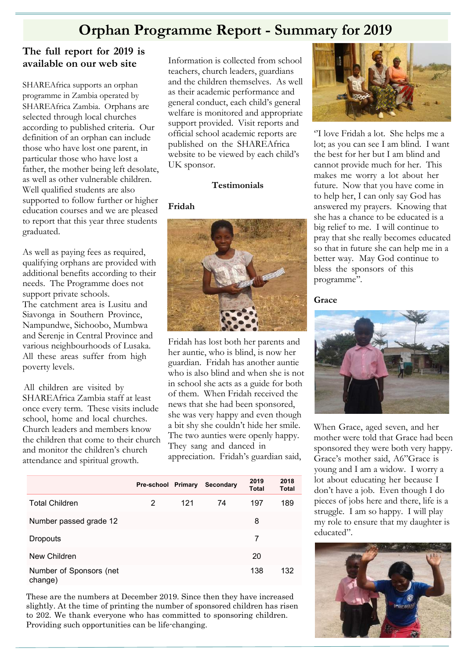### **Orphan Programme Report - Summary for 2019**

#### **The full report for 2019 is available on our web site**

SHAREAfrica supports an orphan programme in Zambia operated by SHAREAfrica Zambia. Orphans are selected through local churches according to published criteria. Our definition of an orphan can include those who have lost one parent, in particular those who have lost a father, the mother being left desolate, as well as other vulnerable children. Well qualified students are also supported to follow further or higher education courses and we are pleased to report that this year three students graduated.

As well as paying fees as required, qualifying orphans are provided with additional benefits according to their needs. The Programme does not support private schools. The catchment area is Lusitu and Siavonga in Southern Province, Nampundwe, Sichoobo, Mumbwa and Serenje in Central Province and various neighbourhoods of Lusaka. All these areas suffer from high poverty levels.

All children are visited by SHAREAfrica Zambia staff at least once every term. These visits include school, home and local churches. Church leaders and members know the children that come to their church and monitor the children's church attendance and spiritual growth.

Information is collected from school teachers, church leaders, guardians and the children themselves. As well as their academic performance and general conduct, each child's general welfare is monitored and appropriate support provided. Visit reports and official school academic reports are published on the SHAREAfrica website to be viewed by each child's UK sponsor.

#### **Testimonials**

#### **Fridah**



Fridah has lost both her parents and her auntie, who is blind, is now her guardian. Fridah has another auntie who is also blind and when she is not in school she acts as a guide for both of them. When Fridah received the news that she had been sponsored, she was very happy and even though a bit shy she couldn't hide her smile. The two aunties were openly happy. They sang and danced in

appreciation. Fridah's guardian said,

|                                    | Pre-school Primary |     | Secondary | 2019<br><b>Total</b> | 2018<br><b>Total</b> |
|------------------------------------|--------------------|-----|-----------|----------------------|----------------------|
| <b>Total Children</b>              | 2                  | 121 | 74        | 197                  | 189                  |
| Number passed grade 12             |                    |     |           | 8                    |                      |
| <b>Dropouts</b>                    |                    |     |           | 7                    |                      |
| New Children                       |                    |     |           | 20                   |                      |
| Number of Sponsors (net<br>change) |                    |     |           | 138                  | 132                  |

These are the numbers at December 2019. Since then they have increased slightly. At the time of printing the number of sponsored children has risen to 202. We thank everyone who has committed to sponsoring children. Providing such opportunities can be life-changing.



''I love Fridah a lot. She helps me a lot; as you can see I am blind. I want the best for her but I am blind and cannot provide much for her. This makes me worry a lot about her future. Now that you have come in to help her, I can only say God has answered my prayers. Knowing that she has a chance to be educated is a big relief to me. I will continue to pray that she really becomes educated so that in future she can help me in a better way. May God continue to bless the sponsors of this programme''.

**Grace**



When Grace, aged seven, and her mother were told that Grace had been sponsored they were both very happy. Grace's mother said, A6"Grace is young and I am a widow. I worry a lot about educating her because I don't have a job. Even though I do pieces of jobs here and there, life is a struggle. I am so happy. I will play my role to ensure that my daughter is educated".

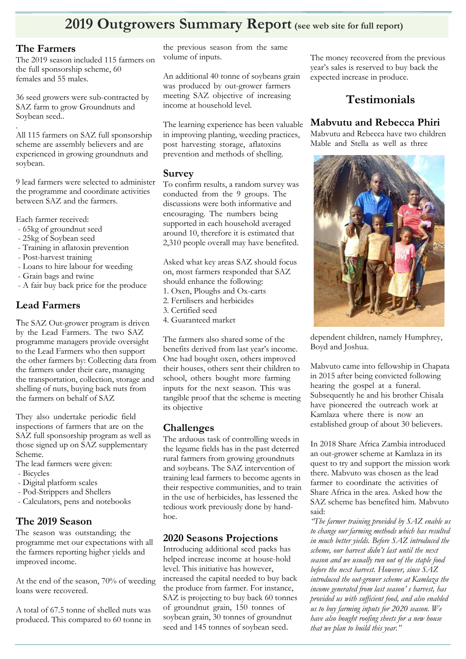### **2019 Outgrowers Summary Report (see web site for full report)**

#### **The Farmers**

The 2019 season included 115 farmers on the full sponsorship scheme, 60 females and 55 males.

36 seed growers were sub-contracted by SAZ farm to grow Groundnuts and Soybean seed..

. All 115 farmers on SAZ full sponsorship scheme are assembly believers and are experienced in growing groundnuts and soybean.

9 lead farmers were selected to administer the programme and coordinate activities between SAZ and the farmers.

Each farmer received:

- 65kg of groundnut seed
- 25kg of Soybean seed
- Training in aflatoxin prevention
- Post-harvest training
- Loans to hire labour for weeding
- Grain bags and twine
- A fair buy back price for the produce

#### **Lead Farmers**

The SAZ Out-grower program is driven by the Lead Farmers. The two SAZ programme managers provide oversight to the Lead Farmers who then support the other farmers by: Collecting data from the farmers under their care, managing the transportation, collection, storage and shelling of nuts, buying back nuts from the farmers on behalf of SAZ

They also undertake periodic field inspections of farmers that are on the SAZ full sponsorship program as well as those signed up on SAZ supplementary Scheme.

- The lead farmers were given:
- Bicycles
- Digital platform scales
- Pod-Strippers and Shellers
- Calculators, pens and notebooks

### **The 2019 Season**

The season was outstanding; the programme met our expectations with all the farmers reporting higher yields and improved income.

At the end of the season, 70% of weeding loans were recovered.

A total of 67.5 tonne of shelled nuts was produced. This compared to 60 tonne in the previous season from the same volume of inputs.

An additional 40 tonne of soybeans grain was produced by out-grower farmers meeting SAZ objective of increasing income at household level.

The learning experience has been valuable in improving planting, weeding practices, post harvesting storage, aflatoxins prevention and methods of shelling.

#### **Survey**

To confirm results, a random survey was conducted from the 9 groups. The discussions were both informative and encouraging. The numbers being supported in each household averaged around 10, therefore it is estimated that 2,310 people overall may have benefited.

Asked what key areas SAZ should focus on, most farmers responded that SAZ should enhance the following:

- 1. Oxen, Ploughs and Ox-carts
- 2. Fertilisers and herbicides
- 3. Certified seed
- 4. Guaranteed market

The farmers also shared some of the benefits derived from last year's income. One had bought oxen, others improved their houses, others sent their children to school, others bought more farming inputs for the next season. This was tangible proof that the scheme is meeting its objective

### **Challenges**

The arduous task of controlling weeds in the legume fields has in the past deterred rural farmers from growing groundnuts and soybeans. The SAZ intervention of training lead farmers to become agents in their respective communities, and to train in the use of herbicides, has lessened the tedious work previously done by handhoe.

#### **2020 Seasons Projections**

Introducing additional seed packs has helped increase income at house-hold level. This initiative has however, increased the capital needed to buy back the produce from farmer. For instance, SAZ is projecting to buy back 60 tonnes of groundnut grain, 150 tonnes of soybean grain, 30 tonnes of groundnut seed and 145 tonnes of soybean seed.

The money recovered from the previous year's sales is reserved to buy back the expected increase in produce.

### **Testimonials**

#### **Mabvutu and Rebecca Phiri**

Mabvutu and Rebecca have two children Mable and Stella as well as three



dependent children, namely Humphrey, Boyd and Joshua.

Mabvuto came into fellowship in Chapata in 2015 after being convicted following hearing the gospel at a funeral. Subsequently he and his brother Chisala have pioneered the outreach work at Kamlaza where there is now an established group of about 30 believers.

In 2018 Share Africa Zambia introduced an out-grower scheme at Kamlaza in its quest to try and support the mission work there. Mabvuto was chosen as the lead farmer to coordinate the activities of Share Africa in the area. Asked how the SAZ scheme has benefited him. Mabvuto said:

*"The farmer training provided by SAZ enable us to change our farming methods which has resulted in much better yields. Before SAZ introduced the scheme, our harvest didn't last until the next season and we usually run out of the staple food before the next harvest. However, since SAZ introduced the out-grower scheme at Kamlaza the income generated from last season' s harvest, has provided us with sufficient food, and also enabled us to buy farming inputs for 2020 season. We have also bought roofing sheets for a new house that we plan to build this year."*